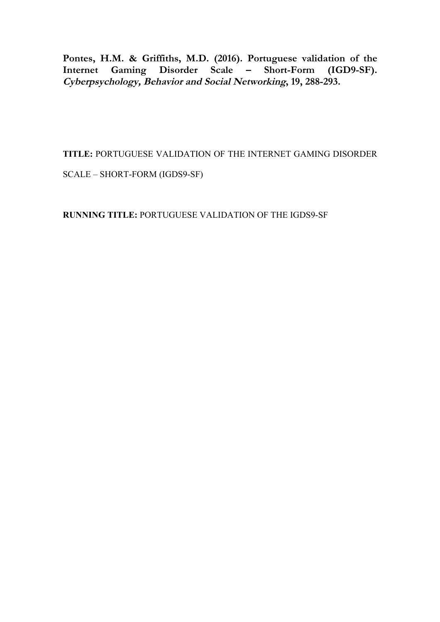Pontes, H.M. & Griffiths, M.D. (2016). Portuguese validation of the Internet Gaming Disorder Scale - Short-Form (IGD9-SF). Internet Gaming Disorder Scale – **Cyberpsychology, Behavior and Social Networking, 19, 288-293.**

**TITLE:** PORTUGUESE VALIDATION OF THE INTERNET GAMING DISORDER

SCALE – SHORT-FORM (IGDS9-SF)

**RUNNING TITLE:** PORTUGUESE VALIDATION OF THE IGDS9-SF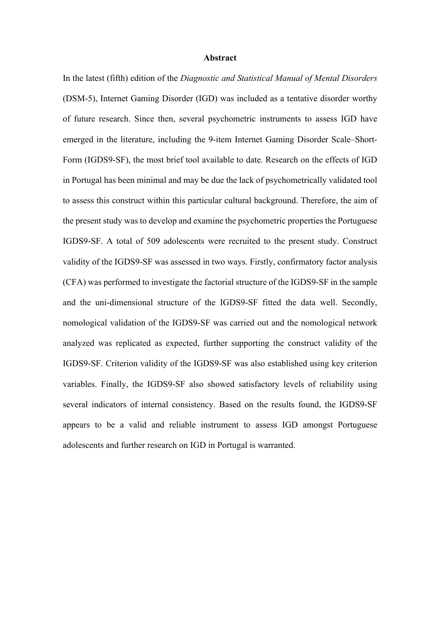#### **Abstract**

In the latest (fifth) edition of the *Diagnostic and Statistical Manual of Mental Disorders* (DSM-5), Internet Gaming Disorder (IGD) was included as a tentative disorder worthy of future research. Since then, several psychometric instruments to assess IGD have emerged in the literature, including the 9-item Internet Gaming Disorder Scale–Short-Form (IGDS9-SF), the most brief tool available to date. Research on the effects of IGD in Portugal has been minimal and may be due the lack of psychometrically validated tool to assess this construct within this particular cultural background. Therefore, the aim of the present study was to develop and examine the psychometric properties the Portuguese IGDS9-SF. A total of 509 adolescents were recruited to the present study. Construct validity of the IGDS9-SF was assessed in two ways. Firstly, confirmatory factor analysis (CFA) was performed to investigate the factorial structure of the IGDS9-SF in the sample and the uni-dimensional structure of the IGDS9-SF fitted the data well. Secondly, nomological validation of the IGDS9-SF was carried out and the nomological network analyzed was replicated as expected, further supporting the construct validity of the IGDS9-SF. Criterion validity of the IGDS9-SF was also established using key criterion variables. Finally, the IGDS9-SF also showed satisfactory levels of reliability using several indicators of internal consistency. Based on the results found, the IGDS9-SF appears to be a valid and reliable instrument to assess IGD amongst Portuguese adolescents and further research on IGD in Portugal is warranted.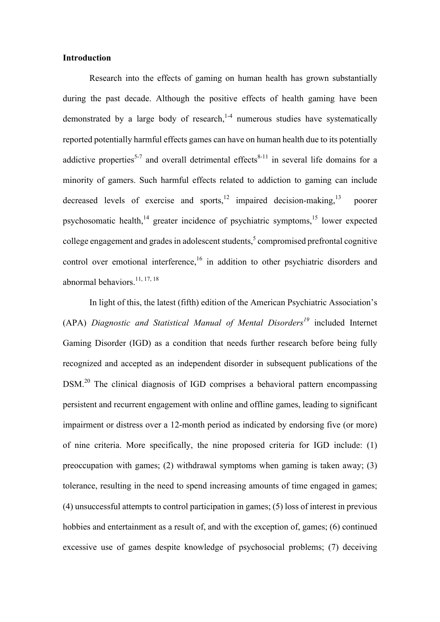## **Introduction**

Research into the effects of gaming on human health has grown substantially during the past decade. Although the positive effects of health gaming have been demonstrated by a large body of research,  $1-4$  numerous studies have systematically reported potentially harmful effects games can have on human health due to its potentially addictive properties<sup>5-7</sup> and overall detrimental effects<sup>8-11</sup> in several life domains for a minority of gamers. Such harmful effects related to addiction to gaming can include decreased levels of exercise and sports,  $12 \text{ impaired decision-making}$ , negligible poorer psychosomatic health, $14$  greater incidence of psychiatric symptoms, $15$  lower expected college engagement and grades in adolescent students, $\frac{5}{3}$  compromised prefrontal cognitive control over emotional interference,<sup>16</sup> in addition to other psychiatric disorders and abnormal behaviors.<sup>11, 17, 18</sup>

In light of this, the latest (fifth) edition of the American Psychiatric Association's (APA) *Diagnostic and Statistical Manual of Mental Disorders<sup>19</sup>* included Internet Gaming Disorder (IGD) as a condition that needs further research before being fully recognized and accepted as an independent disorder in subsequent publications of the DSM.<sup>20</sup> The clinical diagnosis of IGD comprises a behavioral pattern encompassing persistent and recurrent engagement with online and offline games, leading to significant impairment or distress over a 12-month period as indicated by endorsing five (or more) of nine criteria. More specifically, the nine proposed criteria for IGD include: (1) preoccupation with games; (2) withdrawal symptoms when gaming is taken away; (3) tolerance, resulting in the need to spend increasing amounts of time engaged in games; (4) unsuccessful attempts to control participation in games; (5) loss of interest in previous hobbies and entertainment as a result of, and with the exception of, games; (6) continued excessive use of games despite knowledge of psychosocial problems; (7) deceiving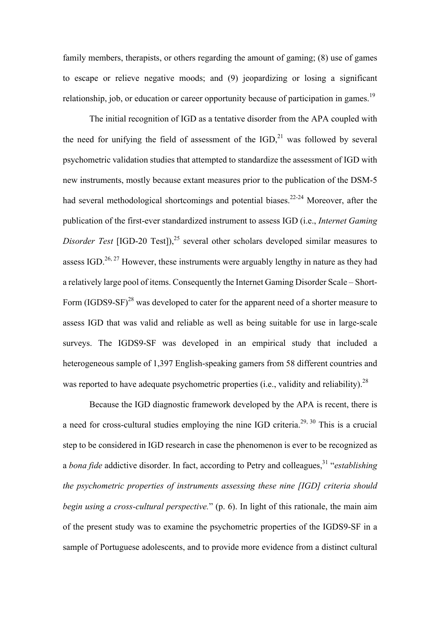family members, therapists, or others regarding the amount of gaming; (8) use of games to escape or relieve negative moods; and (9) jeopardizing or losing a significant relationship, job, or education or career opportunity because of participation in games.<sup>19</sup>

The initial recognition of IGD as a tentative disorder from the APA coupled with the need for unifying the field of assessment of the  $IGD<sub>1</sub><sup>21</sup>$  was followed by several psychometric validation studies that attempted to standardize the assessment of IGD with new instruments, mostly because extant measures prior to the publication of the DSM-5 had several methodological shortcomings and potential biases.<sup>22-24</sup> Moreover, after the publication of the first-ever standardized instrument to assess IGD (i.e., *Internet Gaming Disorder Test* [IGD-20 Test]),<sup>25</sup> several other scholars developed similar measures to assess IGD.<sup>26, 27</sup> However, these instruments were arguably lengthy in nature as they had a relatively large pool of items. Consequently the Internet Gaming Disorder Scale – Short-Form (IGDS9-SF)<sup>28</sup> was developed to cater for the apparent need of a shorter measure to assess IGD that was valid and reliable as well as being suitable for use in large-scale surveys. The IGDS9-SF was developed in an empirical study that included a heterogeneous sample of 1,397 English-speaking gamers from 58 different countries and was reported to have adequate psychometric properties (i.e., validity and reliability).<sup>28</sup>

Because the IGD diagnostic framework developed by the APA is recent, there is a need for cross-cultural studies employing the nine IGD criteria.<sup>29, 30</sup> This is a crucial step to be considered in IGD research in case the phenomenon is ever to be recognized as a *bona fide* addictive disorder. In fact, according to Petry and colleagues,<sup>31</sup> "*establishing the psychometric properties of instruments assessing these nine [IGD] criteria should begin using a cross-cultural perspective.*" (p. 6). In light of this rationale, the main aim of the present study was to examine the psychometric properties of the IGDS9-SF in a sample of Portuguese adolescents, and to provide more evidence from a distinct cultural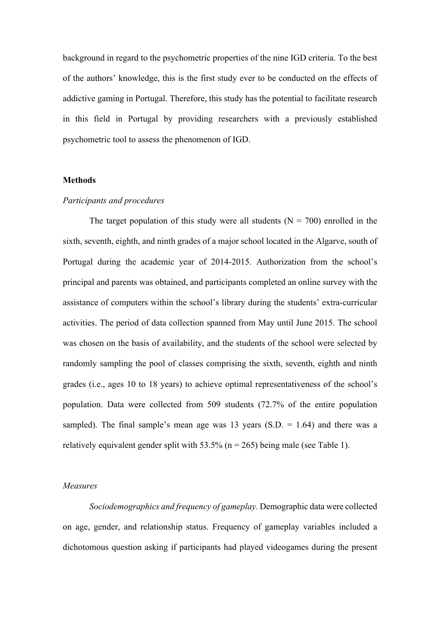background in regard to the psychometric properties of the nine IGD criteria. To the best of the authors' knowledge, this is the first study ever to be conducted on the effects of addictive gaming in Portugal. Therefore, this study has the potential to facilitate research in this field in Portugal by providing researchers with a previously established psychometric tool to assess the phenomenon of IGD.

## **Methods**

#### *Participants and procedures*

The target population of this study were all students  $(N = 700)$  enrolled in the sixth, seventh, eighth, and ninth grades of a major school located in the Algarve, south of Portugal during the academic year of 2014-2015. Authorization from the school's principal and parents was obtained, and participants completed an online survey with the assistance of computers within the school's library during the students' extra-curricular activities. The period of data collection spanned from May until June 2015. The school was chosen on the basis of availability, and the students of the school were selected by randomly sampling the pool of classes comprising the sixth, seventh, eighth and ninth grades (i.e., ages 10 to 18 years) to achieve optimal representativeness of the school's population. Data were collected from 509 students (72.7% of the entire population sampled). The final sample's mean age was 13 years  $(S.D. = 1.64)$  and there was a relatively equivalent gender split with  $53.5\%$  (n = 265) being male (see Table 1).

### *Measures*

*Sociodemographics and frequency of gameplay.* Demographic data were collected on age, gender, and relationship status. Frequency of gameplay variables included a dichotomous question asking if participants had played videogames during the present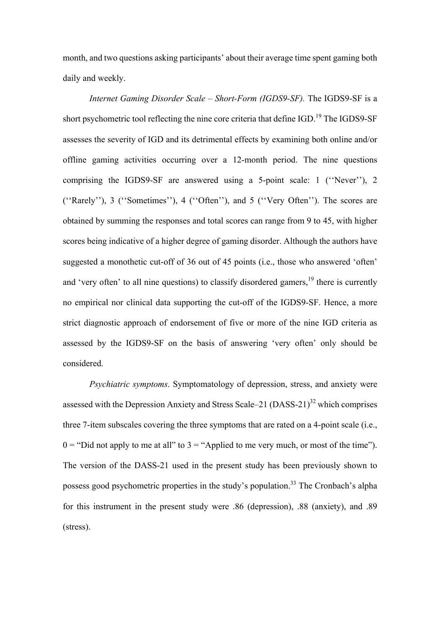month, and two questions asking participants' about their average time spent gaming both daily and weekly.

*Internet Gaming Disorder Scale – Short-Form (IGDS9-SF).* The IGDS9-SF is a short psychometric tool reflecting the nine core criteria that define  $IGD<sup>19</sup>$  The IGDS9-SF assesses the severity of IGD and its detrimental effects by examining both online and/or offline gaming activities occurring over a 12-month period. The nine questions comprising the IGDS9-SF are answered using a 5-point scale: 1 (''Never''), 2 (''Rarely''), 3 (''Sometimes''), 4 (''Often''), and 5 (''Very Often''). The scores are obtained by summing the responses and total scores can range from 9 to 45, with higher scores being indicative of a higher degree of gaming disorder. Although the authors have suggested a monothetic cut-off of 36 out of 45 points (i.e., those who answered 'often' and 'very often' to all nine questions) to classify disordered gamers,  $19$  there is currently no empirical nor clinical data supporting the cut-off of the IGDS9-SF. Hence, a more strict diagnostic approach of endorsement of five or more of the nine IGD criteria as assessed by the IGDS9-SF on the basis of answering 'very often' only should be considered.

*Psychiatric symptoms*. Symptomatology of depression, stress, and anxiety were assessed with the Depression Anxiety and Stress Scale–21 (DASS-21)<sup>32</sup> which comprises three 7-item subscales covering the three symptoms that are rated on a 4-point scale (i.e.,  $0 =$  "Did not apply to me at all" to  $3 =$  "Applied to me very much, or most of the time"). The version of the DASS-21 used in the present study has been previously shown to possess good psychometric properties in the study's population.<sup>33</sup> The Cronbach's alpha for this instrument in the present study were .86 (depression), .88 (anxiety), and .89 (stress).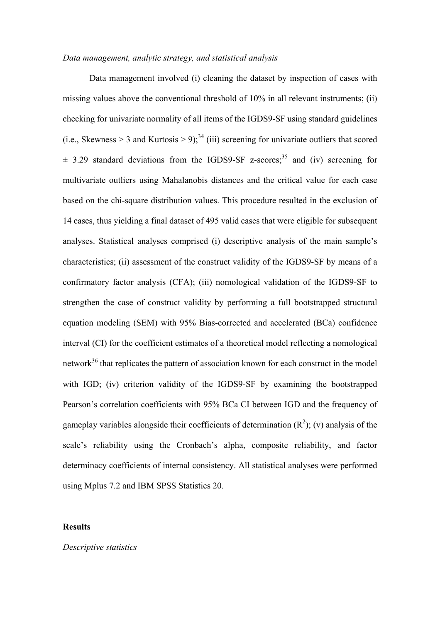## *Data management, analytic strategy, and statistical analysis*

Data management involved (i) cleaning the dataset by inspection of cases with missing values above the conventional threshold of 10% in all relevant instruments; (ii) checking for univariate normality of all items of the IGDS9-SF using standard guidelines (i.e., Skewness > 3 and Kurtosis > 9);<sup>34</sup> (iii) screening for univariate outliers that scored  $\pm$  3.29 standard deviations from the IGDS9-SF z-scores;<sup>35</sup> and (iv) screening for multivariate outliers using Mahalanobis distances and the critical value for each case based on the chi-square distribution values. This procedure resulted in the exclusion of 14 cases, thus yielding a final dataset of 495 valid cases that were eligible for subsequent analyses. Statistical analyses comprised (i) descriptive analysis of the main sample's characteristics; (ii) assessment of the construct validity of the IGDS9-SF by means of a confirmatory factor analysis (CFA); (iii) nomological validation of the IGDS9-SF to strengthen the case of construct validity by performing a full bootstrapped structural equation modeling (SEM) with 95% Bias-corrected and accelerated (BCa) confidence interval (CI) for the coefficient estimates of a theoretical model reflecting a nomological network $36$  that replicates the pattern of association known for each construct in the model with IGD; (iv) criterion validity of the IGDS9-SF by examining the bootstrapped Pearson's correlation coefficients with 95% BCa CI between IGD and the frequency of gameplay variables alongside their coefficients of determination  $(R^2)$ ; (v) analysis of the scale's reliability using the Cronbach's alpha, composite reliability, and factor determinacy coefficients of internal consistency. All statistical analyses were performed using Mplus 7.2 and IBM SPSS Statistics 20.

## **Results**

*Descriptive statistics*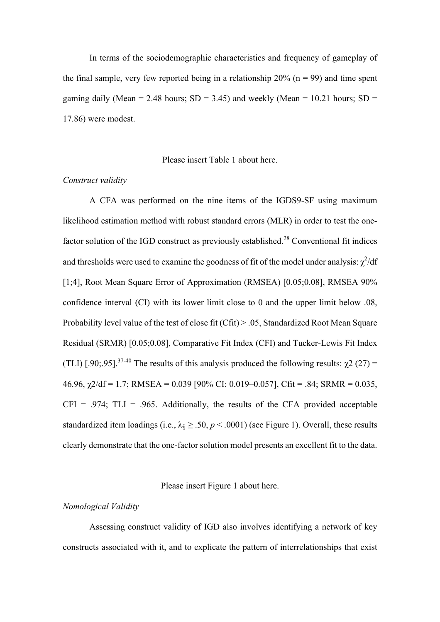In terms of the sociodemographic characteristics and frequency of gameplay of the final sample, very few reported being in a relationship  $20\%$  (n = 99) and time spent gaming daily (Mean = 2.48 hours;  $SD = 3.45$ ) and weekly (Mean = 10.21 hours;  $SD =$ 17.86) were modest.

#### Please insert Table 1 about here.

#### *Construct validity*

A CFA was performed on the nine items of the IGDS9-SF using maximum likelihood estimation method with robust standard errors (MLR) in order to test the onefactor solution of the IGD construct as previously established.<sup>28</sup> Conventional fit indices and thresholds were used to examine the goodness of fit of the model under analysis:  $\chi^2/df$ [1;4], Root Mean Square Error of Approximation (RMSEA) [0.05;0.08], RMSEA 90% confidence interval (CI) with its lower limit close to 0 and the upper limit below .08, Probability level value of the test of close fit (Cfit) > .05, Standardized Root Mean Square Residual (SRMR) [0.05;0.08], Comparative Fit Index (CFI) and Tucker-Lewis Fit Index (TLI) [.90;.95].<sup>37-40</sup> The results of this analysis produced the following results:  $\chi^2$  (27) =  $46.96$ ,  $\chi$ 2/df = 1.7; RMSEA = 0.039 [90% CI: 0.019–0.057], Cfit = .84; SRMR = 0.035,  $CFI = .974$ ;  $TLI = .965$ . Additionally, the results of the CFA provided acceptable standardized item loadings (i.e.,  $\lambda_{ii} \geq .50$ ,  $p < .0001$ ) (see Figure 1). Overall, these results clearly demonstrate that the one-factor solution model presents an excellent fit to the data.

## Please insert Figure 1 about here.

## *Nomological Validity*

Assessing construct validity of IGD also involves identifying a network of key constructs associated with it, and to explicate the pattern of interrelationships that exist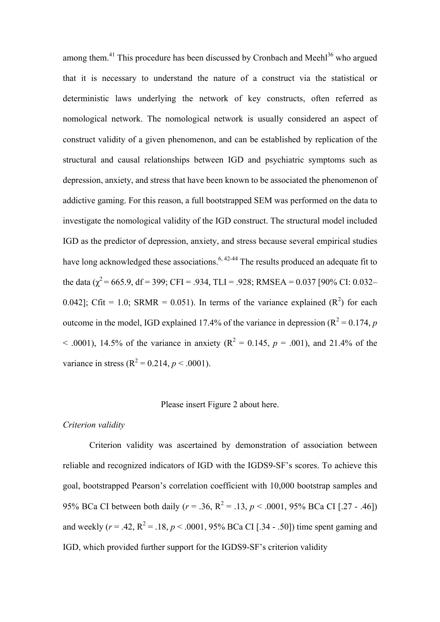among them. $41$  This procedure has been discussed by Cronbach and Meehl $36$  who argued that it is necessary to understand the nature of a construct via the statistical or deterministic laws underlying the network of key constructs, often referred as nomological network. The nomological network is usually considered an aspect of construct validity of a given phenomenon, and can be established by replication of the structural and causal relationships between IGD and psychiatric symptoms such as depression, anxiety, and stress that have been known to be associated the phenomenon of addictive gaming. For this reason, a full bootstrapped SEM was performed on the data to investigate the nomological validity of the IGD construct. The structural model included IGD as the predictor of depression, anxiety, and stress because several empirical studies have long acknowledged these associations.<sup>6, 42-44</sup> The results produced an adequate fit to the data ( $\chi^2$  = 665.9, df = 399; CFI = .934, TLI = .928; RMSEA = 0.037 [90% CI: 0.032– 0.042]; Cfit = 1.0; SRMR = 0.051). In terms of the variance explained  $(R^2)$  for each outcome in the model, IGD explained 17.4% of the variance in depression  $(R^2 = 0.174, p$  $<$  0.001), 14.5% of the variance in anxiety ( $R^2 = 0.145$ ,  $p = 0.001$ ), and 21.4% of the variance in stress  $(R^2 = 0.214, p < .0001)$ .

## Please insert Figure 2 about here.

### *Criterion validity*

Criterion validity was ascertained by demonstration of association between reliable and recognized indicators of IGD with the IGDS9-SF's scores. To achieve this goal, bootstrapped Pearson's correlation coefficient with 10,000 bootstrap samples and 95% BCa CI between both daily ( $r = .36$ ,  $R^2 = .13$ ,  $p < .0001$ , 95% BCa CI [.27 - .46]) and weekly  $(r = .42, R^2 = .18, p < .0001, 95\%$  BCa CI [.34 - .50]) time spent gaming and IGD, which provided further support for the IGDS9-SF's criterion validity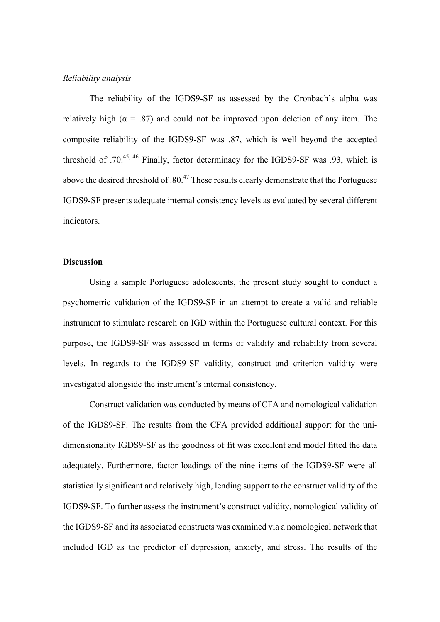# *Reliability analysis*

The reliability of the IGDS9-SF as assessed by the Cronbach's alpha was relatively high ( $\alpha = .87$ ) and could not be improved upon deletion of any item. The composite reliability of the IGDS9-SF was .87, which is well beyond the accepted threshold of  $.70^{45,46}$  Finally, factor determinacy for the IGDS9-SF was  $.93$ , which is above the desired threshold of .80.<sup>47</sup> These results clearly demonstrate that the Portuguese IGDS9-SF presents adequate internal consistency levels as evaluated by several different indicators.

## **Discussion**

Using a sample Portuguese adolescents, the present study sought to conduct a psychometric validation of the IGDS9-SF in an attempt to create a valid and reliable instrument to stimulate research on IGD within the Portuguese cultural context. For this purpose, the IGDS9-SF was assessed in terms of validity and reliability from several levels. In regards to the IGDS9-SF validity, construct and criterion validity were investigated alongside the instrument's internal consistency.

Construct validation was conducted by means of CFA and nomological validation of the IGDS9-SF. The results from the CFA provided additional support for the unidimensionality IGDS9-SF as the goodness of fit was excellent and model fitted the data adequately. Furthermore, factor loadings of the nine items of the IGDS9-SF were all statistically significant and relatively high, lending support to the construct validity of the IGDS9-SF. To further assess the instrument's construct validity, nomological validity of the IGDS9-SF and its associated constructs was examined via a nomological network that included IGD as the predictor of depression, anxiety, and stress. The results of the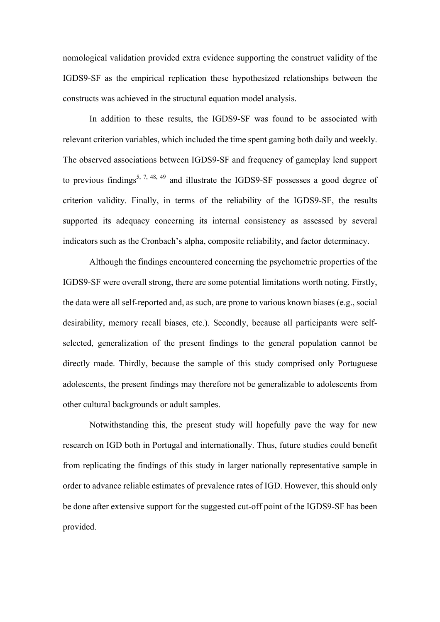nomological validation provided extra evidence supporting the construct validity of the IGDS9-SF as the empirical replication these hypothesized relationships between the constructs was achieved in the structural equation model analysis.

In addition to these results, the IGDS9-SF was found to be associated with relevant criterion variables, which included the time spent gaming both daily and weekly. The observed associations between IGDS9-SF and frequency of gameplay lend support to previous findings<sup>5, 7, 48, 49</sup> and illustrate the IGDS9-SF possesses a good degree of criterion validity. Finally, in terms of the reliability of the IGDS9-SF, the results supported its adequacy concerning its internal consistency as assessed by several indicators such as the Cronbach's alpha, composite reliability, and factor determinacy.

Although the findings encountered concerning the psychometric properties of the IGDS9-SF were overall strong, there are some potential limitations worth noting. Firstly, the data were all self-reported and, as such, are prone to various known biases (e.g., social desirability, memory recall biases, etc.). Secondly, because all participants were selfselected, generalization of the present findings to the general population cannot be directly made. Thirdly, because the sample of this study comprised only Portuguese adolescents, the present findings may therefore not be generalizable to adolescents from other cultural backgrounds or adult samples.

Notwithstanding this, the present study will hopefully pave the way for new research on IGD both in Portugal and internationally. Thus, future studies could benefit from replicating the findings of this study in larger nationally representative sample in order to advance reliable estimates of prevalence rates of IGD. However, this should only be done after extensive support for the suggested cut-off point of the IGDS9-SF has been provided.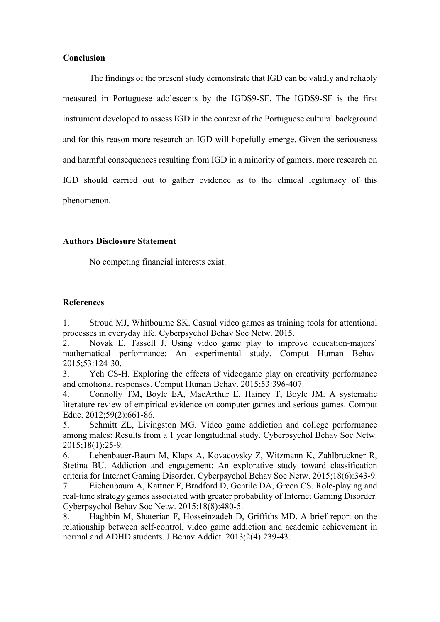## **Conclusion**

The findings of the present study demonstrate that IGD can be validly and reliably measured in Portuguese adolescents by the IGDS9-SF. The IGDS9-SF is the first instrument developed to assess IGD in the context of the Portuguese cultural background and for this reason more research on IGD will hopefully emerge. Given the seriousness and harmful consequences resulting from IGD in a minority of gamers, more research on IGD should carried out to gather evidence as to the clinical legitimacy of this phenomenon.

# **Authors Disclosure Statement**

No competing financial interests exist.

# **References**

1. Stroud MJ, Whitbourne SK. Casual video games as training tools for attentional processes in everyday life. Cyberpsychol Behav Soc Netw. 2015.

2. Novak E, Tassell J. Using video game play to improve education-majors' mathematical performance: An experimental study. Comput Human Behav. 2015;53:124-30.

3. Yeh CS-H. Exploring the effects of videogame play on creativity performance and emotional responses. Comput Human Behav. 2015;53:396-407.

4. Connolly TM, Boyle EA, MacArthur E, Hainey T, Boyle JM. A systematic literature review of empirical evidence on computer games and serious games. Comput Educ. 2012;59(2):661-86.

5. Schmitt ZL, Livingston MG. Video game addiction and college performance among males: Results from a 1 year longitudinal study. Cyberpsychol Behav Soc Netw. 2015;18(1):25-9.

6. Lehenbauer-Baum M, Klaps A, Kovacovsky Z, Witzmann K, Zahlbruckner R, Stetina BU. Addiction and engagement: An explorative study toward classification criteria for Internet Gaming Disorder. Cyberpsychol Behav Soc Netw. 2015;18(6):343-9.

7. Eichenbaum A, Kattner F, Bradford D, Gentile DA, Green CS. Role-playing and real-time strategy games associated with greater probability of Internet Gaming Disorder. Cyberpsychol Behav Soc Netw. 2015;18(8):480-5.

8. Haghbin M, Shaterian F, Hosseinzadeh D, Griffiths MD. A brief report on the relationship between self-control, video game addiction and academic achievement in normal and ADHD students. J Behav Addict. 2013;2(4):239-43.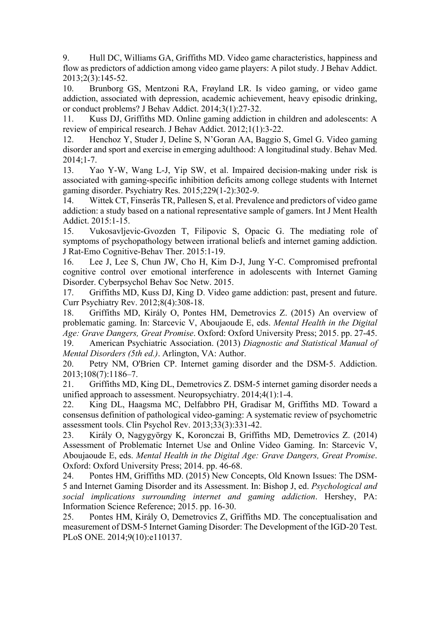9. Hull DC, Williams GA, Griffiths MD. Video game characteristics, happiness and flow as predictors of addiction among video game players: A pilot study. J Behav Addict. 2013;2(3):145-52.

10. Brunborg GS, Mentzoni RA, Frøyland LR. Is video gaming, or video game addiction, associated with depression, academic achievement, heavy episodic drinking, or conduct problems? J Behav Addict. 2014;3(1):27-32.

11. Kuss DJ, Griffiths MD. Online gaming addiction in children and adolescents: A review of empirical research. J Behav Addict. 2012;1(1):3-22.

12. Henchoz Y, Studer J, Deline S, N'Goran AA, Baggio S, Gmel G. Video gaming disorder and sport and exercise in emerging adulthood: A longitudinal study. Behav Med. 2014;1-7.

13. Yao Y-W, Wang L-J, Yip SW, et al. Impaired decision-making under risk is associated with gaming-specific inhibition deficits among college students with Internet gaming disorder. Psychiatry Res. 2015;229(1-2):302-9.

14. Wittek CT, Finserås TR, Pallesen S, et al. Prevalence and predictors of video game addiction: a study based on a national representative sample of gamers. Int J Ment Health Addict. 2015:1-15.

15. Vukosavljevic-Gvozden T, Filipovic S, Opacic G. The mediating role of symptoms of psychopathology between irrational beliefs and internet gaming addiction. J Rat-Emo Cognitive-Behav Ther. 2015:1-19.

16. Lee J, Lee S, Chun JW, Cho H, Kim D-J, Jung Y-C. Compromised prefrontal cognitive control over emotional interference in adolescents with Internet Gaming Disorder. Cyberpsychol Behav Soc Netw. 2015.

17. Griffiths MD, Kuss DJ, King D. Video game addiction: past, present and future. Curr Psychiatry Rev. 2012;8(4):308-18.

18. Griffiths MD, Király O, Pontes HM, Demetrovics Z. (2015) An overview of problematic gaming. In: Starcevic V, Aboujaoude E, eds. *Mental Health in the Digital Age: Grave Dangers, Great Promise*. Oxford: Oxford University Press; 2015. pp. 27-45.

19. American Psychiatric Association. (2013) *Diagnostic and Statistical Manual of Mental Disorders (5th ed.)*. Arlington, VA: Author.

20. Petry NM, O'Brien CP. Internet gaming disorder and the DSM-5. Addiction. 2013;108(7):1186–7.

21. Griffiths MD, King DL, Demetrovics Z. DSM-5 internet gaming disorder needs a unified approach to assessment. Neuropsychiatry. 2014;4(1):1-4.

22. King DL, Haagsma MC, Delfabbro PH, Gradisar M, Griffiths MD. Toward a consensus definition of pathological video-gaming: A systematic review of psychometric assessment tools. Clin Psychol Rev. 2013;33(3):331-42.

23. Király O, Nagygyörgy K, Koronczai B, Griffiths MD, Demetrovics Z. (2014) Assessment of Problematic Internet Use and Online Video Gaming. In: Starcevic V, Aboujaoude E, eds. *Mental Health in the Digital Age: Grave Dangers, Great Promise*. Oxford: Oxford University Press; 2014. pp. 46-68.

24. Pontes HM, Griffiths MD. (2015) New Concepts, Old Known Issues: The DSM-5 and Internet Gaming Disorder and its Assessment. In: Bishop J, ed. *Psychological and social implications surrounding internet and gaming addiction*. Hershey, PA: Information Science Reference; 2015. pp. 16-30.

25. Pontes HM, Király O, Demetrovics Z, Griffiths MD. The conceptualisation and measurement of DSM-5 Internet Gaming Disorder: The Development of the IGD-20 Test. PLoS ONE. 2014;9(10):e110137.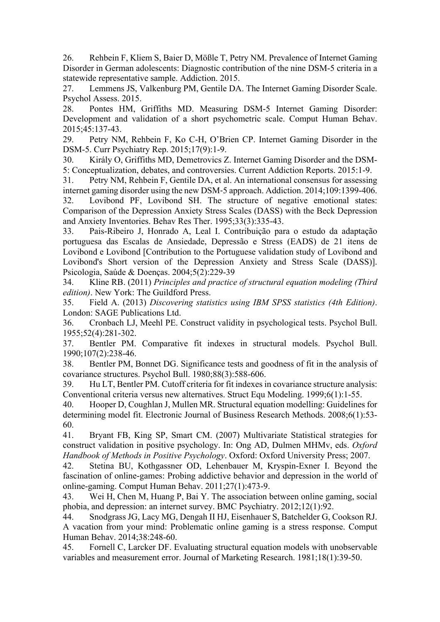26. Rehbein F, Kliem S, Baier D, Mößle T, Petry NM. Prevalence of Internet Gaming Disorder in German adolescents: Diagnostic contribution of the nine DSM-5 criteria in a statewide representative sample. Addiction. 2015.

27. Lemmens JS, Valkenburg PM, Gentile DA. The Internet Gaming Disorder Scale. Psychol Assess. 2015.

28. Pontes HM, Griffiths MD. Measuring DSM-5 Internet Gaming Disorder: Development and validation of a short psychometric scale. Comput Human Behav. 2015;45:137-43.

29. Petry NM, Rehbein F, Ko C-H, O'Brien CP. Internet Gaming Disorder in the DSM-5. Curr Psychiatry Rep. 2015;17(9):1-9.

30. Király O, Griffiths MD, Demetrovics Z. Internet Gaming Disorder and the DSM-5: Conceptualization, debates, and controversies. Current Addiction Reports. 2015:1-9.

31. Petry NM, Rehbein F, Gentile DA, et al. An international consensus for assessing internet gaming disorder using the new DSM-5 approach. Addiction. 2014;109:1399-406. 32. Lovibond PF, Lovibond SH. The structure of negative emotional states: Comparison of the Depression Anxiety Stress Scales (DASS) with the Beck Depression and Anxiety Inventories. Behav Res Ther. 1995;33(3):335-43.

33. Pais-Ribeiro J, Honrado A, Leal I. Contribuição para o estudo da adaptação portuguesa das Escalas de Ansiedade, Depressão e Stress (EADS) de 21 itens de Lovibond e Lovibond [Contribution to the Portuguese validation study of Lovibond and Lovibond's Short version of the Depression Anxiety and Stress Scale (DASS)]. Psicologia, Saúde & Doenças. 2004;5(2):229-39

34. Kline RB. (2011) *Principles and practice of structural equation modeling (Third edition)*. New York: The Guildford Press.

35. Field A. (2013) *Discovering statistics using IBM SPSS statistics (4th Edition)*. London: SAGE Publications Ltd.

36. Cronbach LJ, Meehl PE. Construct validity in psychological tests. Psychol Bull. 1955;52(4):281-302.

37. Bentler PM. Comparative fit indexes in structural models. Psychol Bull. 1990;107(2):238-46.

38. Bentler PM, Bonnet DG. Significance tests and goodness of fit in the analysis of covariance structures. Psychol Bull. 1980;88(3):588-606.

39. Hu LT, Bentler PM. Cutoff criteria for fit indexes in covariance structure analysis: Conventional criteria versus new alternatives. Struct Equ Modeling. 1999;6(1):1-55.

40. Hooper D, Coughlan J, Mullen MR. Structural equation modelling: Guidelines for determining model fit. Electronic Journal of Business Research Methods. 2008;6(1):53- 60.

41. Bryant FB, King SP, Smart CM. (2007) Multivariate Statistical strategies for construct validation in positive psychology. In: Ong AD, Dulmen MHMv, eds. *Oxford Handbook of Methods in Positive Psychology*. Oxford: Oxford University Press; 2007.

42. Stetina BU, Kothgassner OD, Lehenbauer M, Kryspin-Exner I. Beyond the fascination of online-games: Probing addictive behavior and depression in the world of online-gaming. Comput Human Behav. 2011;27(1):473-9.

43. Wei H, Chen M, Huang P, Bai Y. The association between online gaming, social phobia, and depression: an internet survey. BMC Psychiatry. 2012;12(1):92.

44. Snodgrass JG, Lacy MG, Dengah II HJ, Eisenhauer S, Batchelder G, Cookson RJ. A vacation from your mind: Problematic online gaming is a stress response. Comput Human Behav. 2014;38:248-60.

45. Fornell C, Larcker DF. Evaluating structural equation models with unobservable variables and measurement error. Journal of Marketing Research. 1981;18(1):39-50.